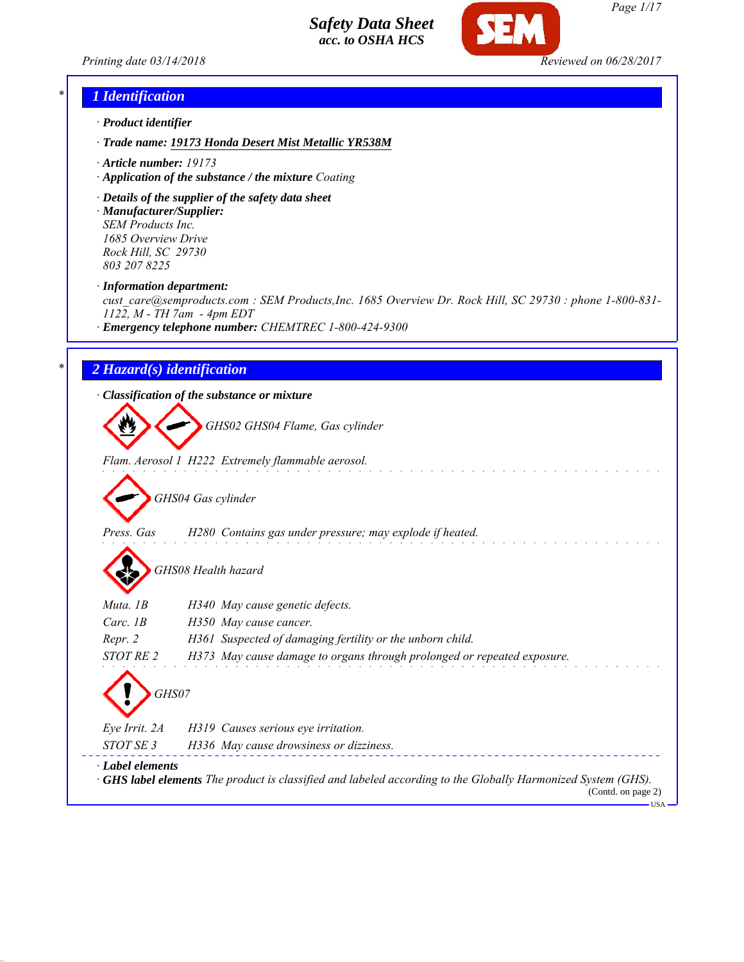



*Page 1/17*

USA

# *\* 1 Identification*

- *· Product identifier*
- *· Trade name: 19173 Honda Desert Mist Metallic YR538M*
- *· Article number: 19173*
- *· Application of the substance / the mixture Coating*
- *· Details of the supplier of the safety data sheet · Manufacturer/Supplier: SEM Products Inc.*

*1685 Overview Drive Rock Hill, SC 29730 803 207 8225*

*· Information department:*

*cust\_care@semproducts.com : SEM Products,Inc. 1685 Overview Dr. Rock Hill, SC 29730 : phone 1-800-831- 1122, M - TH 7am - 4pm EDT*

*· Emergency telephone number: CHEMTREC 1-800-424-9300*

### *\* 2 Hazard(s) identification*

*· Classification of the substance or mixture*

*GHS02 GHS04 Flame, Gas cylinder*

*Flam. Aerosol 1 H222 Extremely flammable aerosol.*

*GHS04 Gas cylinder*

*Press. Gas H280 Contains gas under pressure; may explode if heated.*

*GHS08 Health hazard*

| Muta. 1B         | H340 May cause genetic defects.                                                                                                          |
|------------------|------------------------------------------------------------------------------------------------------------------------------------------|
| Carc. $1B$       | H350 May cause cancer.                                                                                                                   |
| Repr. 2          | H361 Suspected of damaging fertility or the unborn child.                                                                                |
| STOT RE 2        | H373 May cause damage to organs through prolonged or repeated exposure.                                                                  |
|                  |                                                                                                                                          |
| Eye Irrit. 2A    | H319 Causes serious eye irritation.                                                                                                      |
| STOT SE 3        | H336 May cause drowsiness or dizziness.                                                                                                  |
| · Label elements | <b>GHS label elements</b> The product is classified and labeled according to the Globally Harmonized System (GHS).<br>(Contd. on page 2) |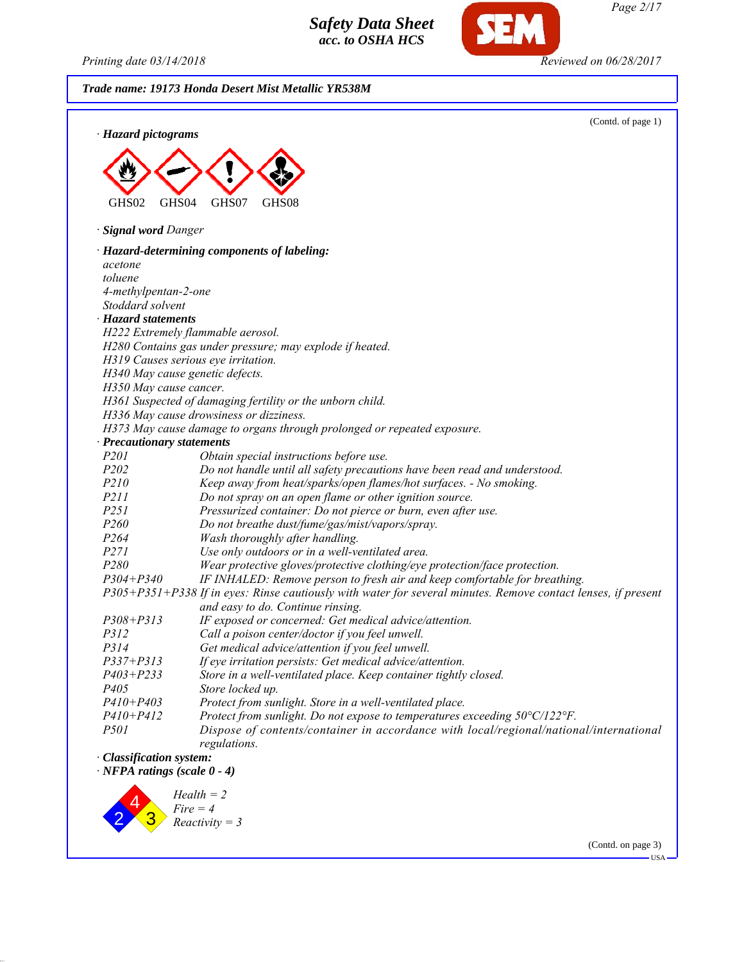*Printing date 03/14/2018 Reviewed on 06/28/2017*

**SEM** 

| · Hazard pictograms                | (Contd. of page 1)                                                                                            |
|------------------------------------|---------------------------------------------------------------------------------------------------------------|
|                                    |                                                                                                               |
|                                    |                                                                                                               |
|                                    |                                                                                                               |
| GHS02<br>GHS04                     | GHS07<br>GHS08                                                                                                |
|                                    |                                                                                                               |
| · Signal word Danger               |                                                                                                               |
|                                    | · Hazard-determining components of labeling:                                                                  |
| acetone                            |                                                                                                               |
| toluene                            |                                                                                                               |
| 4-methylpentan-2-one               |                                                                                                               |
| Stoddard solvent                   |                                                                                                               |
| · Hazard statements                |                                                                                                               |
|                                    | H222 Extremely flammable aerosol.                                                                             |
|                                    | H280 Contains gas under pressure; may explode if heated.                                                      |
|                                    | H319 Causes serious eye irritation.                                                                           |
| H350 May cause cancer.             | H340 May cause genetic defects.                                                                               |
|                                    | H361 Suspected of damaging fertility or the unborn child.                                                     |
|                                    | H336 May cause drowsiness or dizziness.                                                                       |
|                                    | H373 May cause damage to organs through prolonged or repeated exposure.                                       |
| · Precautionary statements         |                                                                                                               |
| P201                               | Obtain special instructions before use.                                                                       |
| P202                               | Do not handle until all safety precautions have been read and understood.                                     |
| P210                               | Keep away from heat/sparks/open flames/hot surfaces. - No smoking.                                            |
| <i>P211</i>                        | Do not spray on an open flame or other ignition source.                                                       |
| P251                               | Pressurized container: Do not pierce or burn, even after use.                                                 |
| P260                               | Do not breathe dust/fume/gas/mist/vapors/spray.                                                               |
| P <sub>264</sub>                   | Wash thoroughly after handling.                                                                               |
| P271                               | Use only outdoors or in a well-ventilated area.                                                               |
| P280                               | Wear protective gloves/protective clothing/eye protection/face protection.                                    |
| $P304 + P340$                      | IF INHALED: Remove person to fresh air and keep comfortable for breathing.                                    |
|                                    | P305+P351+P338 If in eyes: Rinse cautiously with water for several minutes. Remove contact lenses, if present |
|                                    | and easy to do. Continue rinsing.                                                                             |
| $P308 + P313$                      | IF exposed or concerned: Get medical advice/attention.                                                        |
| <i>P312</i>                        | Call a poison center/doctor if you feel unwell.                                                               |
| P314                               | Get medical advice/attention if you feel unwell.                                                              |
| $P337 + P313$                      | If eye irritation persists: Get medical advice/attention.                                                     |
| $P403 + P233$                      | Store in a well-ventilated place. Keep container tightly closed.                                              |
| P <sub>405</sub>                   | Store locked up.                                                                                              |
| $P410 + P403$                      | Protect from sunlight. Store in a well-ventilated place.                                                      |
| $P410 + P412$                      | Protect from sunlight. Do not expose to temperatures exceeding 50°C/122°F.                                    |
| <i>P501</i>                        | Dispose of contents/container in accordance with local/regional/national/international<br>regulations.        |
| · Classification system:           |                                                                                                               |
| $\cdot$ NFPA ratings (scale 0 - 4) |                                                                                                               |
| $Health = 2$                       |                                                                                                               |



(Contd. on page 3)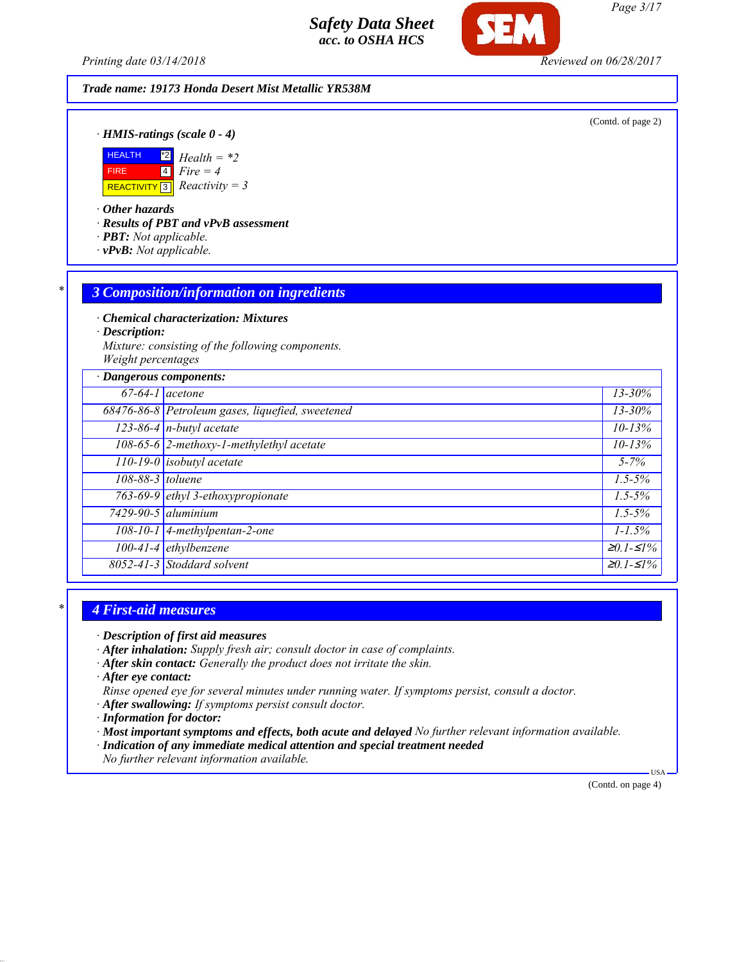*Printing date 03/14/2018 Reviewed on 06/28/2017*

### *Trade name: 19173 Honda Desert Mist Metallic YR538M*

(Contd. of page 2)

*· HMIS-ratings (scale 0 - 4)*



*· Other hazards*

*· Results of PBT and vPvB assessment*

- *· PBT: Not applicable.*
- *· vPvB: Not applicable.*

### *\* 3 Composition/information on ingredients*

*· Chemical characterization: Mixtures*

*· Description:*

*Mixture: consisting of the following components. Weight percentages*

| · Dangerous components: |                                                  |                   |
|-------------------------|--------------------------------------------------|-------------------|
|                         | $67-64-1$ acetone                                | $13 - 30\%$       |
|                         | 68476-86-8 Petroleum gases, liquefied, sweetened | $13 - 30\%$       |
|                         | $\sqrt{123-86-4}$ n-butyl acetate                | $10 - 13%$        |
|                         | 108-65-6 2-methoxy-1-methylethyl acetate         | $10 - 13%$        |
|                         | $\boxed{110-19-0}$ isobutyl acetate              | $5 - 7\%$         |
| 108-88-3 toluene        |                                                  | $1.5 - 5\%$       |
|                         | 763-69-9 ethyl 3-ethoxypropionate                | $1.5 - 5\%$       |
|                         | $7429 - 90 - 5$ aluminium                        | $1.5 - 5\%$       |
|                         | $108-10-1$ 4-methylpentan-2-one                  | $1 - 1.5\%$       |
|                         | $100-41-4$ ethylbenzene                          | $\geq 0.1 - 51\%$ |
|                         | 8052-41-3 Stoddard solvent                       | $\geq 0.1 - 51\%$ |

### *\* 4 First-aid measures*

*· Description of first aid measures*

- *· After inhalation: Supply fresh air; consult doctor in case of complaints.*
- *· After skin contact: Generally the product does not irritate the skin.*

*· After eye contact:*

- *Rinse opened eye for several minutes under running water. If symptoms persist, consult a doctor.*
- *· After swallowing: If symptoms persist consult doctor.*
- *· Information for doctor:*
- *· Most important symptoms and effects, both acute and delayed No further relevant information available.*
- *· Indication of any immediate medical attention and special treatment needed*
- *No further relevant information available.*

(Contd. on page 4)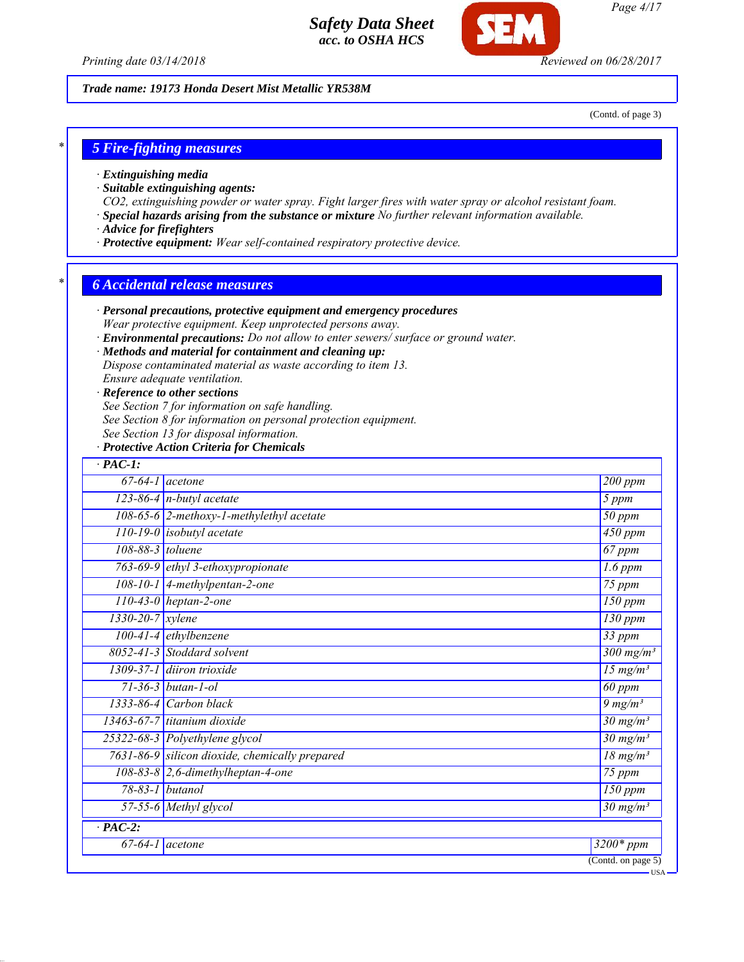

### *Trade name: 19173 Honda Desert Mist Metallic YR538M*

(Contd. of page 3)

### *\* 5 Fire-fighting measures*

- *· Extinguishing media*
- *· Suitable extinguishing agents:*
- *CO2, extinguishing powder or water spray. Fight larger fires with water spray or alcohol resistant foam.*
- *· Special hazards arising from the substance or mixture No further relevant information available.*
- *· Advice for firefighters*
- *· Protective equipment: Wear self-contained respiratory protective device.*

### *\* 6 Accidental release measures*

- *· Personal precautions, protective equipment and emergency procedures Wear protective equipment. Keep unprotected persons away.*
- *· Environmental precautions: Do not allow to enter sewers/ surface or ground water.*

### *· Methods and material for containment and cleaning up:*

*Dispose contaminated material as waste according to item 13.*

*Ensure adequate ventilation.*

### *· Reference to other sections*

*See Section 7 for information on safe handling.*

- *See Section 8 for information on personal protection equipment.*
- *See Section 13 for disposal information.*

### *· Protective Action Criteria for Chemicals*

| $67 - 64 - 1$<br><i>acetone</i>                | 200 ppm                      |
|------------------------------------------------|------------------------------|
| 123-86-4 $n$ -butyl acetate                    | 5 ppm                        |
| 108-65-6 $2$ -methoxy-1-methylethyl acetate    | 50 ppm                       |
| $110 - 19 - 0$<br>isobutyl acetate             | $\overline{450}$ ppm         |
| 108-88-3 toluene                               | 67 ppm                       |
| 763-69-9 ethyl 3-ethoxypropionate              | $1.6$ ppm                    |
| 108-10-1 4-methylpentan-2-one                  | $75$ ppm                     |
| $110-43-0$ heptan-2-one                        | $\overline{150}$ ppm         |
| $1330 - 20 - 7$ xylene                         | $\overline{130}$ ppm         |
| 100-41-4 ethylbenzene                          | $\overline{33}$ ppm          |
| 8052-41-3 Stoddard solvent                     | $\frac{300 \text{ mg}}{m}$   |
| 1309-37-1 diiron trioxide                      | $15 \,\mathrm{mg/m^3}$       |
| $71 - 36 - 3$ butan-1-ol                       | 60 ppm                       |
| $1333-86-4$ Carbon black                       | $9 \frac{mg}{m^3}$           |
| 13463-67-7 titanium dioxide                    | $30 \,\mathrm{mg/m^3}$       |
| 25322-68-3 Polyethylene glycol                 | $30$ mg/m <sup>3</sup>       |
| 7631-86-9 silicon dioxide, chemically prepared | $\frac{18 \text{ m} g}{m^3}$ |
| $108-83-8$ 2,6-dimethylheptan-4-one            | 75 ppm                       |
| $78 - 83 - 1$<br>butanol                       | $\overline{150}$ ppm         |
| 57-55-6 Methyl glycol                          | $30$ mg/m <sup>3</sup>       |
| $\cdot$ PAC-2:                                 |                              |
| $67 - 64 - 1$<br>acetone                       | $\overline{3200*}$ ppm       |

*Page 4/17*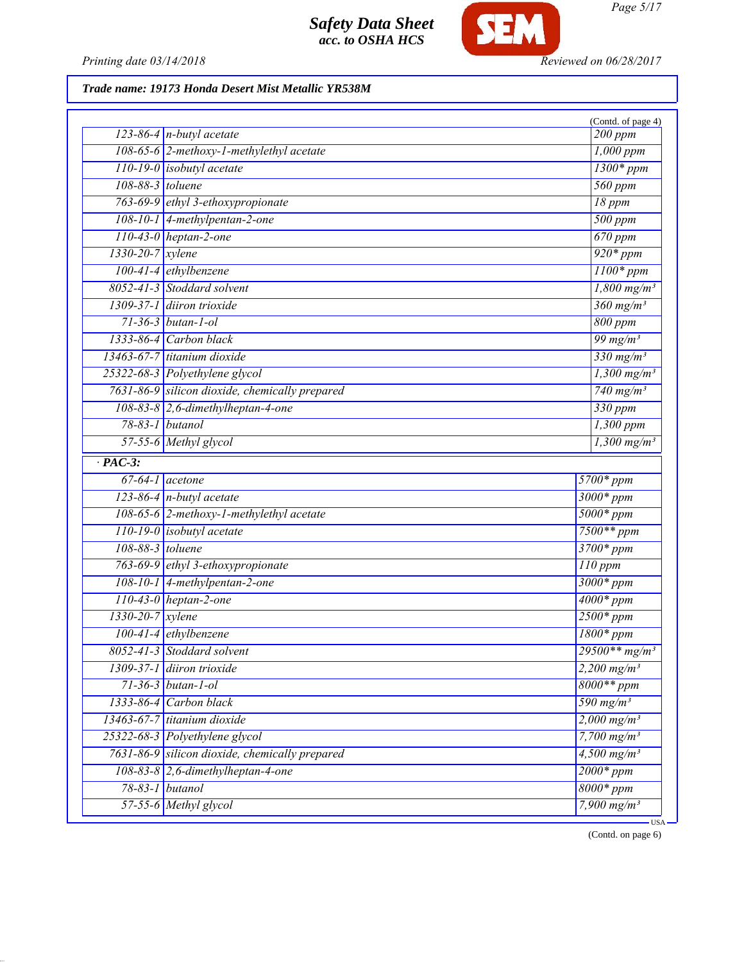

*Printing date 03/14/2018 Reviewed on 06/28/2017*

# *Trade name: 19173 Honda Desert Mist Metallic YR538M*

|                               |                                                | (Contd. of page 4)               |
|-------------------------------|------------------------------------------------|----------------------------------|
|                               | 123-86-4 $n$ -butyl acetate                    | 200 ppm                          |
|                               | 108-65-6 2-methoxy-1-methylethyl acetate       | $1,000$ ppm                      |
|                               | $110-19-0$ isobutyl acetate                    | $1300*ppm$                       |
| 108-88-3 toluene              |                                                | $\frac{1}{560}$ ppm              |
|                               | 763-69-9 ethyl 3-ethoxypropionate              | 18 ppm                           |
|                               | 108-10-1 $\vert$ 4-methylpentan-2-one          | 500 ppm                          |
|                               | $110-43-0$ heptan-2-one                        | $670$ ppm                        |
| $1330 - 20 - 7$ <i>xylene</i> |                                                | $\frac{920*ppm}{2}$              |
|                               | 100-41-4 ethylbenzene                          | $1100*ppm$                       |
|                               | 8052-41-3 Stoddard solvent                     | $1,800$ mg/m <sup>3</sup>        |
|                               | 1309-37-1 diiron trioxide                      | $360$ mg/m <sup>3</sup>          |
|                               | $71 - 36 - 3$ butan-1-ol                       | 800 ppm                          |
|                               | 1333-86-4 Carbon black                         | $\frac{99 \text{ mg}}{m^3}$      |
|                               | 13463-67-7 titanium dioxide                    | 330 mg/m <sup>3</sup>            |
|                               | 25322-68-3 Polyethylene glycol                 | $\frac{1,300 \text{ mg/m}^3}{2}$ |
|                               | 7631-86-9 silicon dioxide, chemically prepared | 740 mg/m <sup>3</sup>            |
|                               | $108-83-8$ 2,6-dimethylheptan-4-one            | 330 ppm                          |
|                               | $78-83-1$ butanol                              | $1,300$ ppm                      |
|                               | 57-55-6 Methyl glycol                          | $1,300$ mg/m <sup>3</sup>        |
| $\cdot$ PAC-3:                |                                                |                                  |
|                               | $\overline{67-64-1}$ acetone                   | 5700* ppm                        |
|                               | $\overline{123-86-4}$ n-butyl acetate          | $3000*ppm$                       |
|                               | 108-65-6 2-methoxy-1-methylethyl acetate       | $5000*ppm$                       |
|                               | $110-19-0$ isobutyl acetate                    | $7500**$ ppm                     |
| 108-88-3 toluene              |                                                | $3700*ppm$                       |
|                               | 763-69-9 ethyl 3-ethoxypropionate              | $110$ ppm                        |
|                               | 108-10-1 4-methylpentan-2-one                  | $3000*ppm$                       |
|                               | $110-43-0$ heptan-2-one                        | $4000*ppm$                       |
| $1330-20-7$ xylene            |                                                | $2500*ppm$                       |
|                               | $100-41-4$ ethylbenzene                        | $\overline{1800*ppm}$            |
|                               | 8052-41-3 Stoddard solvent                     | $29500**mg/m^3$                  |
|                               | $1309-37-1$ diiron trioxide                    | 2,200 $mg/m^3$                   |
|                               | $71 - 36 - 3$ butan-1-ol                       | $8000**ppm$                      |
| 1333-86-4                     | Carbon black                                   | 590 mg/m <sup>3</sup>            |
|                               | $13463-67-7$ titanium dioxide                  | $2,000$ mg/m <sup>3</sup>        |
|                               | 25322-68-3 Polyethylene glycol                 | 7,700 $mg/m^3$                   |
| 7631-86-9                     | silicon dioxide, chemically prepared           | $4,500$ mg/m <sup>3</sup>        |
|                               | $108-83-8$ 2,6-dimethylheptan-4-one            | $2000*ppm$                       |
| $78 - 83 - 1$                 | butanol                                        | $8000*ppm$                       |
|                               | 57-55-6 Methyl glycol                          | 7,900 $mg/m^3$                   |
|                               |                                                | ·USA                             |

(Contd. on page 6)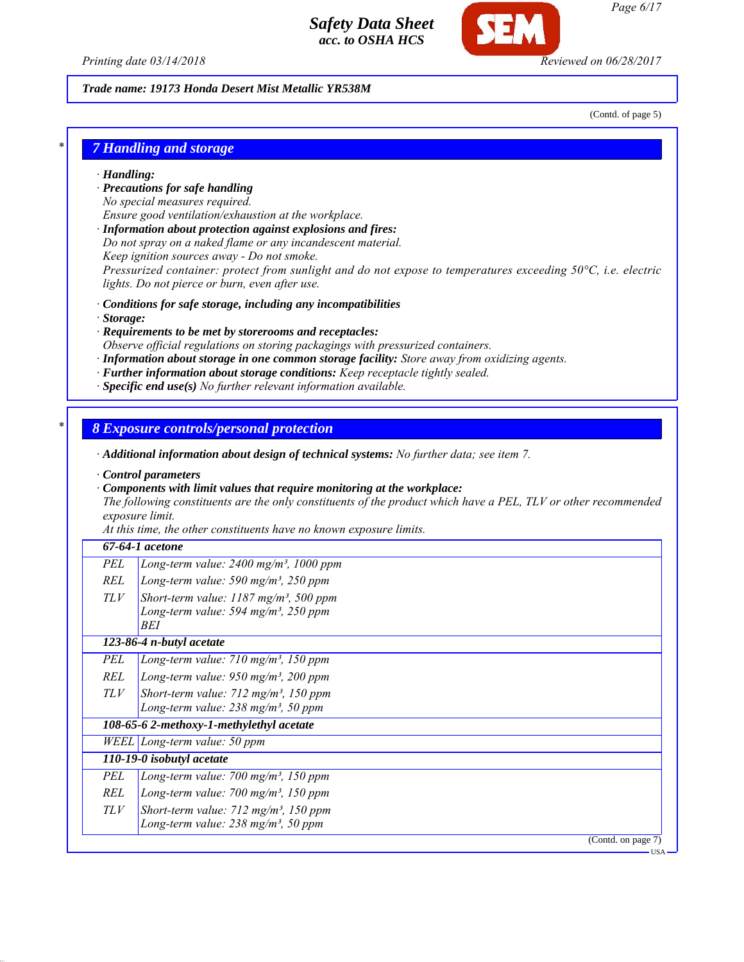

*Page 6/17*

*Printing date 03/14/2018 Reviewed on 06/28/2017*

### *Trade name: 19173 Honda Desert Mist Metallic YR538M*

(Contd. of page 5)

### *\* 7 Handling and storage*

- *· Handling:*
- *· Precautions for safe handling*
- *No special measures required.*
- *Ensure good ventilation/exhaustion at the workplace.*
- *· Information about protection against explosions and fires:*
- *Do not spray on a naked flame or any incandescent material.*
- *Keep ignition sources away Do not smoke.*

*Pressurized container: protect from sunlight and do not expose to temperatures exceeding 50°C, i.e. electric lights. Do not pierce or burn, even after use.*

- *· Conditions for safe storage, including any incompatibilities*
- *· Storage:*
- *· Requirements to be met by storerooms and receptacles:*
- *Observe official regulations on storing packagings with pressurized containers.*
- *· Information about storage in one common storage facility: Store away from oxidizing agents.*
- *· Further information about storage conditions: Keep receptacle tightly sealed.*
- *· Specific end use(s) No further relevant information available.*

### *\* 8 Exposure controls/personal protection*

*· Additional information about design of technical systems: No further data; see item 7.*

*· Control parameters*

*· Components with limit values that require monitoring at the workplace:*

*The following constituents are the only constituents of the product which have a PEL, TLV or other recommended exposure limit.*

*At this time, the other constituents have no known exposure limits.*

### *67-64-1 acetone*

| REL | Long-term value: 590 mg/m <sup>3</sup> , 250 ppm                                                             |
|-----|--------------------------------------------------------------------------------------------------------------|
|     | TLV Short-term value: $1187$ mg/m <sup>3</sup> , 500 ppm<br>Long-term value: 594 mg/m <sup>3</sup> , 250 ppm |
|     | BEI                                                                                                          |
|     | 123-86-4 n-butyl acetate                                                                                     |
| PEL | Long-term value: $710$ mg/m <sup>3</sup> , 150 ppm                                                           |

*REL Long-term value: 950 mg/m³, 200 ppm TLV Short-term value: 712 mg/m³, 150 ppm Long-term value: 238 mg/m³, 50 ppm*

### *108-65-6 2-methoxy-1-methylethyl acetate*

*WEEL Long-term value: 50 ppm*

- *110-19-0 isobutyl acetate*
	- *PEL Long-term value: 700 mg/m³, 150 ppm*
	- *REL Long-term value: 700 mg/m³, 150 ppm*
	- *TLV Short-term value: 712 mg/m³, 150 ppm*
		- *Long-term value: 238 mg/m³, 50 ppm*

(Contd. on page 7)

USA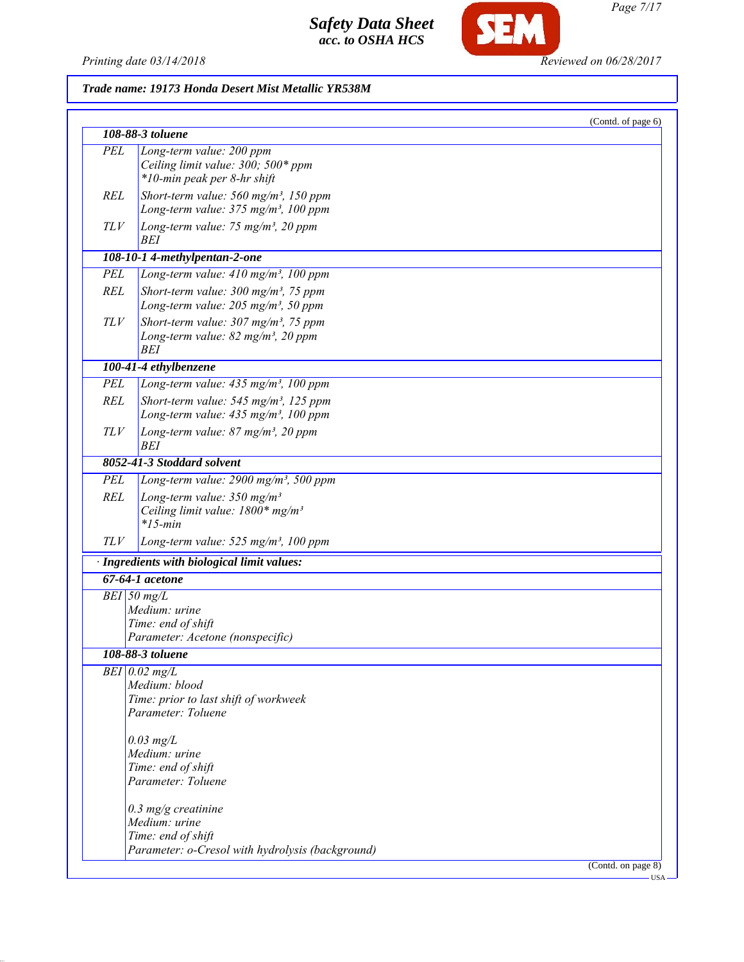*Printing date 03/14/2018 Reviewed on 06/28/2017*

SEM

# *Trade name: 19173 Honda Desert Mist Metallic YR538M*

|            |                                                                                                            | (Contd. of page 6)               |
|------------|------------------------------------------------------------------------------------------------------------|----------------------------------|
|            | 108-88-3 toluene                                                                                           |                                  |
| <b>PEL</b> | Long-term value: 200 ppm<br>Ceiling limit value: 300; 500* ppm<br>*10-min peak per 8-hr shift              |                                  |
| <b>REL</b> | Short-term value: $560$ mg/m <sup>3</sup> , 150 ppm<br>Long-term value: $375 \text{ mg/m}^3$ , 100 ppm     |                                  |
| TLV        | Long-term value: 75 mg/m <sup>3</sup> , 20 ppm<br>BEI                                                      |                                  |
|            | 108-10-1 4-methylpentan-2-one                                                                              |                                  |
| PEL        | Long-term value: 410 mg/m <sup>3</sup> , 100 ppm                                                           |                                  |
| <b>REL</b> | Short-term value: 300 mg/m <sup>3</sup> , 75 ppm<br>Long-term value: $205$ mg/m <sup>3</sup> , 50 ppm      |                                  |
| TLV        | Short-term value: $307 \text{ mg/m}^3$ , 75 ppm<br>Long-term value: $82$ mg/m <sup>3</sup> , 20 ppm<br>BEI |                                  |
|            | 100-41-4 ethylbenzene                                                                                      |                                  |
| <b>PEL</b> | Long-term value: $435$ mg/m <sup>3</sup> , 100 ppm                                                         |                                  |
| <b>REL</b> | Short-term value: 545 mg/m <sup>3</sup> , 125 ppm<br>Long-term value: $435$ mg/m <sup>3</sup> , 100 ppm    |                                  |
| <b>TLV</b> | Long-term value: $87$ mg/m <sup>3</sup> , 20 ppm<br>BEI                                                    |                                  |
|            | 8052-41-3 Stoddard solvent                                                                                 |                                  |
| <b>PEL</b> | Long-term value: 2900 mg/m <sup>3</sup> , 500 ppm                                                          |                                  |
| <b>REL</b> | Long-term value: $350$ mg/m <sup>3</sup><br>Ceiling limit value: $1800*$ mg/m <sup>3</sup><br>$*15$ -min   |                                  |
| TLV        | Long-term value: 525 mg/m <sup>3</sup> , 100 ppm                                                           |                                  |
|            | · Ingredients with biological limit values:                                                                |                                  |
|            | $67-64-1$ acetone                                                                                          |                                  |
|            | $BEI$ 50 mg/L                                                                                              |                                  |
|            | Medium: urine                                                                                              |                                  |
|            | Time: end of shift                                                                                         |                                  |
|            | Parameter: Acetone (nonspecific)                                                                           |                                  |
|            | 108-88-3 toluene                                                                                           |                                  |
|            | $BEI$ 0.02 mg/L                                                                                            |                                  |
|            | Medium: blood                                                                                              |                                  |
|            | Time: prior to last shift of workweek                                                                      |                                  |
|            | Parameter: Toluene                                                                                         |                                  |
|            | $0.03$ mg/L                                                                                                |                                  |
|            | Medium: urine                                                                                              |                                  |
|            | Time: end of shift                                                                                         |                                  |
|            | Parameter: Toluene                                                                                         |                                  |
|            | $0.3$ mg/g creatinine                                                                                      |                                  |
|            | Medium: urine                                                                                              |                                  |
|            | Time: end of shift                                                                                         |                                  |
|            | Parameter: o-Cresol with hydrolysis (background)                                                           |                                  |
|            |                                                                                                            | (Contd. on page 8)<br><b>USA</b> |

*Page 7/17*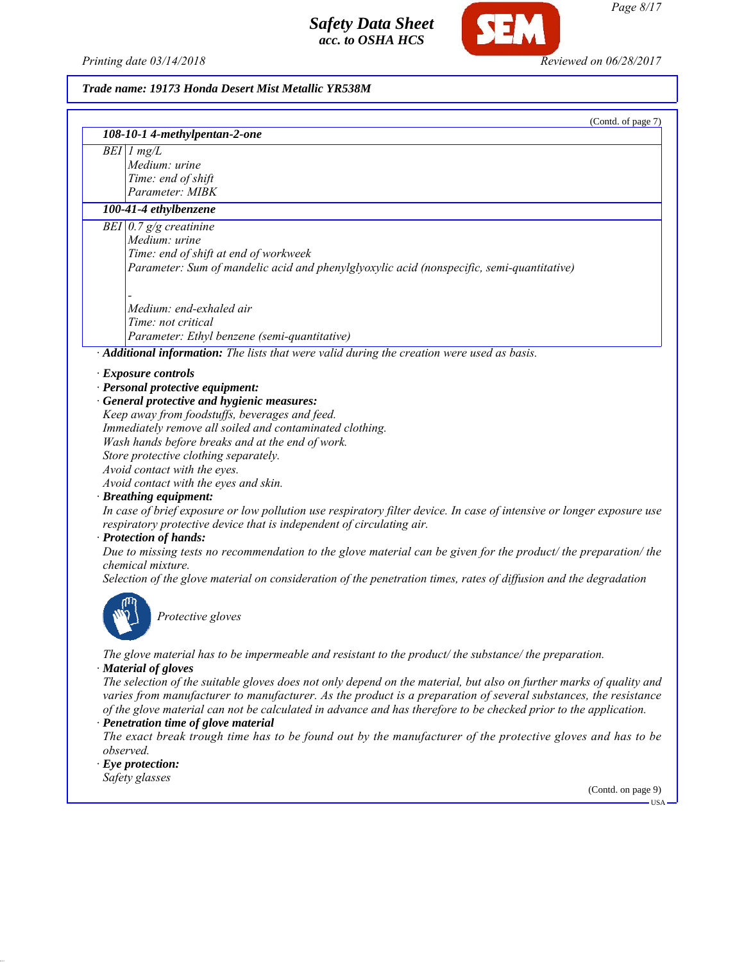*Printing date 03/14/2018 Reviewed on 06/28/2017*

SEM

*Page 8/17*

### *Trade name: 19173 Honda Desert Mist Metallic YR538M*

|           | (Contd. of page 7)                                                                                                                              |
|-----------|-------------------------------------------------------------------------------------------------------------------------------------------------|
|           | 108-10-1 4-methylpentan-2-one                                                                                                                   |
|           | $BEI$ 1 mg/L                                                                                                                                    |
|           | Medium: urine                                                                                                                                   |
|           | Time: end of shift                                                                                                                              |
|           | Parameter: MIBK                                                                                                                                 |
|           | 100-41-4 ethylbenzene                                                                                                                           |
|           | BEI $0.7$ g/g creatinine                                                                                                                        |
|           | Medium: urine                                                                                                                                   |
|           | Time: end of shift at end of workweek                                                                                                           |
|           | Parameter: Sum of mandelic acid and phenylglyoxylic acid (nonspecific, semi-quantitative)                                                       |
|           | Medium: end-exhaled air                                                                                                                         |
|           | Time: not critical                                                                                                                              |
|           | Parameter: Ethyl benzene (semi-quantitative)                                                                                                    |
|           | Additional information: The lists that were valid during the creation were used as basis.                                                       |
|           |                                                                                                                                                 |
|           | · Exposure controls                                                                                                                             |
|           | · Personal protective equipment:                                                                                                                |
|           | · General protective and hygienic measures:                                                                                                     |
|           | Keep away from foodstuffs, beverages and feed.                                                                                                  |
|           | Immediately remove all soiled and contaminated clothing.                                                                                        |
|           | Wash hands before breaks and at the end of work.                                                                                                |
|           | Store protective clothing separately.                                                                                                           |
|           | Avoid contact with the eyes.                                                                                                                    |
|           | Avoid contact with the eyes and skin.                                                                                                           |
|           | · Breathing equipment:<br>In case of brief exposure or low pollution use respiratory filter device. In case of intensive or longer exposure use |
|           | respiratory protective device that is independent of circulating air.                                                                           |
|           | · Protection of hands:                                                                                                                          |
|           | Due to missing tests no recommendation to the glove material can be given for the product/ the preparation/ the<br>chemical mixture.            |
|           | Selection of the glove material on consideration of the penetration times, rates of diffusion and the degradation                               |
|           | Protective gloves                                                                                                                               |
|           |                                                                                                                                                 |
|           | The glove material has to be impermeable and resistant to the product/the substance/the preparation.<br>· Material of gloves                    |
|           | The selection of the suitable gloves does not only depend on the material, but also on further marks of quality and                             |
|           | varies from manufacturer to manufacturer. As the product is a preparation of several substances, the resistance                                 |
|           | of the glove material can not be calculated in advance and has therefore to be checked prior to the application.                                |
|           | · Penetration time of glove material                                                                                                            |
|           | The exact break trough time has to be found out by the manufacturer of the protective gloves and has to be                                      |
| observed. |                                                                                                                                                 |
|           | $\cdot$ Eye protection:                                                                                                                         |
|           | Safety glasses                                                                                                                                  |

(Contd. on page 9)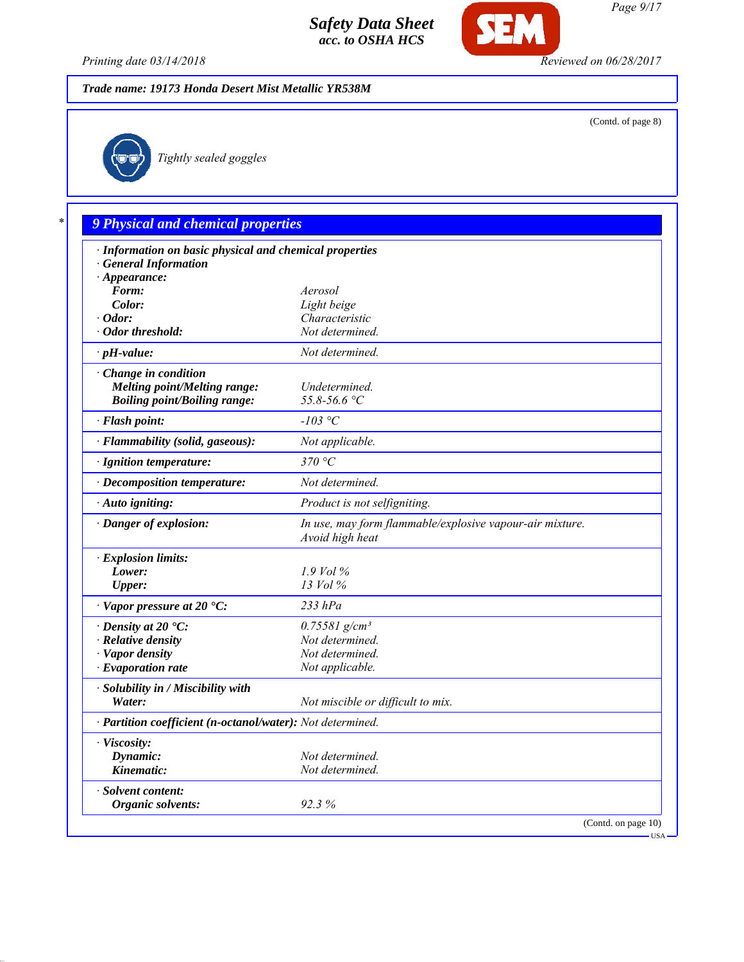

*Printing date 03/14/2018 Reviewed on 06/28/2017*

# *Trade name: 19173 Honda Desert Mist Metallic YR538M*

(Contd. of page 8)



*Tightly sealed goggles*

# *\* 9 Physical and chemical properties*

| · Information on basic physical and chemical properties    |                                                                             |  |  |
|------------------------------------------------------------|-----------------------------------------------------------------------------|--|--|
| <b>General Information</b>                                 |                                                                             |  |  |
| $\cdot$ Appearance:                                        |                                                                             |  |  |
| Form:                                                      | Aerosol                                                                     |  |  |
| Color:                                                     | Light beige                                                                 |  |  |
| $\cdot$ Odor:                                              | Characteristic                                                              |  |  |
| · Odor threshold:                                          | Not determined.                                                             |  |  |
| $\cdot$ pH-value:                                          | Not determined.                                                             |  |  |
| $\cdot$ Change in condition                                |                                                                             |  |  |
| <b>Melting point/Melting range:</b>                        | Undetermined.                                                               |  |  |
| <b>Boiling point/Boiling range:</b>                        | $55.8 - 56.6$ °C                                                            |  |  |
| · Flash point:                                             | $-103$ °C                                                                   |  |  |
| · Flammability (solid, gaseous):                           | Not applicable.                                                             |  |  |
| · Ignition temperature:                                    | 370 °C                                                                      |  |  |
| · Decomposition temperature:                               | Not determined.                                                             |  |  |
| · Auto igniting:                                           | Product is not selfigniting.                                                |  |  |
| · Danger of explosion:                                     | In use, may form flammable/explosive vapour-air mixture.<br>Avoid high heat |  |  |
| · Explosion limits:                                        |                                                                             |  |  |
| Lower:                                                     | $1.9$ Vol %                                                                 |  |  |
| <b>Upper:</b>                                              | 13 Vol %                                                                    |  |  |
| $\cdot$ Vapor pressure at 20 $\cdot$ C:                    | $233$ $hPa$                                                                 |  |  |
| $\cdot$ Density at 20 $\textdegree$ C:                     | $0.75581$ g/cm <sup>3</sup>                                                 |  |  |
| · Relative density                                         | Not determined.                                                             |  |  |
| · Vapor density                                            | Not determined.                                                             |  |  |
| $\cdot$ Evaporation rate                                   | Not applicable.                                                             |  |  |
| · Solubility in / Miscibility with                         |                                                                             |  |  |
| Water:                                                     | Not miscible or difficult to mix.                                           |  |  |
| · Partition coefficient (n-octanol/water): Not determined. |                                                                             |  |  |
| · Viscosity:                                               |                                                                             |  |  |
| Dynamic:                                                   | Not determined.                                                             |  |  |
| Kinematic:                                                 | Not determined.                                                             |  |  |
| · Solvent content:                                         |                                                                             |  |  |
| Organic solvents:                                          | 92.3%                                                                       |  |  |
|                                                            | (Contd. on page 10)                                                         |  |  |
|                                                            | $-USA -$                                                                    |  |  |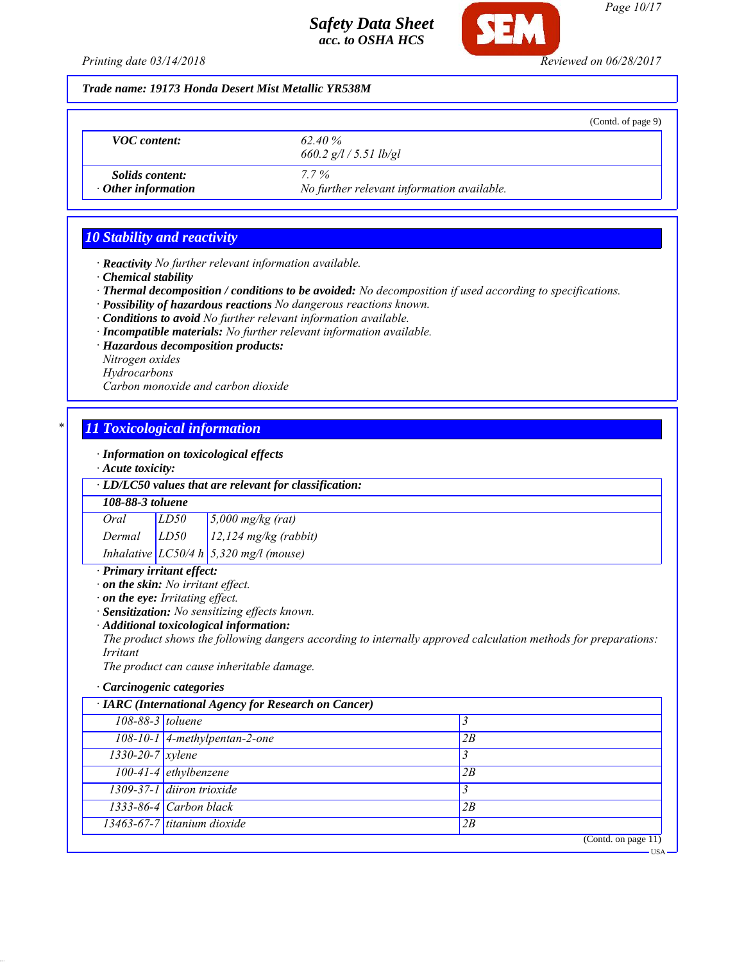

*Page 10/17*

USA

*Printing date 03/14/2018 Reviewed on 06/28/2017*

*Trade name: 19173 Honda Desert Mist Metallic YR538M*

|                                                     |                                                       | (Contd. of page 9) |
|-----------------------------------------------------|-------------------------------------------------------|--------------------|
| <b>VOC</b> content:                                 | 62.40 %<br>$660.2$ g/l / 5.51 lb/gl                   |                    |
| <i>Solids content:</i><br>$\cdot$ Other information | $7.7\%$<br>No further relevant information available. |                    |

# *10 Stability and reactivity*

*· Reactivity No further relevant information available.*

- *· Chemical stability*
- *· Thermal decomposition / conditions to be avoided: No decomposition if used according to specifications.*
- *· Possibility of hazardous reactions No dangerous reactions known.*
- *· Conditions to avoid No further relevant information available.*
- *· Incompatible materials: No further relevant information available.*
- *· Hazardous decomposition products:*
- *Nitrogen oxides*
- *Hydrocarbons*

*Carbon monoxide and carbon dioxide*

# *\* 11 Toxicological information*

*· Information on toxicological effects*

*· Acute toxicity:*

*· LD/LC50 values that are relevant for classification:*

### *108-88-3 toluene*

*Oral LD50 5,000 mg/kg (rat)*

*Dermal LD50 12,124 mg/kg (rabbit)*

*Inhalative LC50/4 h 5,320 mg/l (mouse)*

# *· Primary irritant effect:*

- *· on the skin: No irritant effect.*
- *· on the eye: Irritating effect.*
- *· Sensitization: No sensitizing effects known.*
- *· Additional toxicological information:*

*The product shows the following dangers according to internally approved calculation methods for preparations: Irritant*

*The product can cause inheritable damage.*

### *· Carcinogenic categories*

| · IARC (International Agency for Research on Cancer) |                                 |                     |
|------------------------------------------------------|---------------------------------|---------------------|
| 108-88-3 toluene                                     |                                 |                     |
|                                                      | $108-10-1$ 4-methylpentan-2-one | 2B                  |
| $1330 - 20 - 7$ xylene                               |                                 |                     |
|                                                      | $100-41-4$ ethylbenzene         | 2B                  |
|                                                      | 1309-37-1 diiron trioxide       |                     |
|                                                      | $1333-86-4$ Carbon black        | 2B                  |
|                                                      | 13463-67-7 titanium dioxide     | 2B                  |
|                                                      |                                 | (Contd. on page 11) |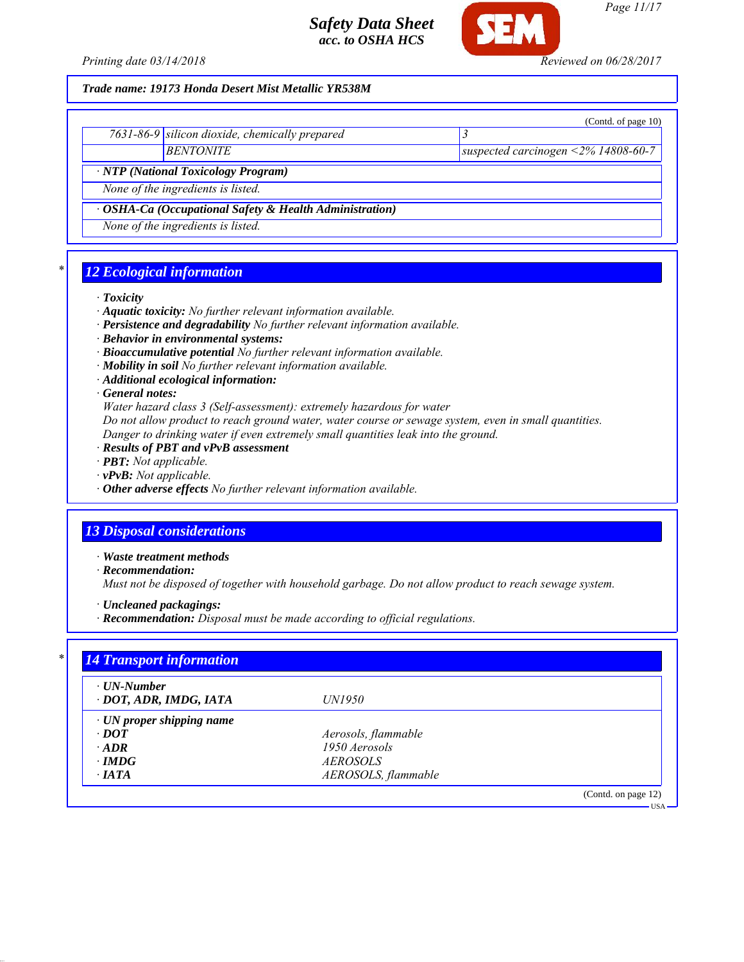

*Page 11/17*

### *Trade name: 19173 Honda Desert Mist Metallic YR538M*

|                                                               |                                                | (Contd. of page $10$ )                  |  |
|---------------------------------------------------------------|------------------------------------------------|-----------------------------------------|--|
|                                                               | 7631-86-9 silicon dioxide, chemically prepared |                                         |  |
|                                                               | <b>BENTONITE</b>                               | suspected carcinogen < $2\%$ 14808-60-7 |  |
| · NTP (National Toxicology Program)                           |                                                |                                         |  |
| None of the ingredients is listed.                            |                                                |                                         |  |
| $\cdot$ OSHA-Ca (Occupational Safety & Health Administration) |                                                |                                         |  |
|                                                               | None of the ingredients is listed.             |                                         |  |

### *\* 12 Ecological information*

### *· Toxicity*

- *· Aquatic toxicity: No further relevant information available.*
- *· Persistence and degradability No further relevant information available.*
- *· Behavior in environmental systems:*
- *· Bioaccumulative potential No further relevant information available.*
- *· Mobility in soil No further relevant information available.*
- *· Additional ecological information:*

*· General notes:*

*Water hazard class 3 (Self-assessment): extremely hazardous for water*

*Do not allow product to reach ground water, water course or sewage system, even in small quantities.*

- *Danger to drinking water if even extremely small quantities leak into the ground.*
- *· Results of PBT and vPvB assessment*
- *· PBT: Not applicable.*
- *· vPvB: Not applicable.*
- *· Other adverse effects No further relevant information available.*

### *13 Disposal considerations*

*· Waste treatment methods*

*· Recommendation:*

*Must not be disposed of together with household garbage. Do not allow product to reach sewage system.*

*· Uncleaned packagings:*

*· Recommendation: Disposal must be made according to official regulations.*

| $\cdot$ UN-Number<br>· DOT, ADR, IMDG, IATA | <i>UN1950</i>       |  |
|---------------------------------------------|---------------------|--|
| $\cdot$ UN proper shipping name             |                     |  |
| $\cdot$ DOT                                 | Aerosols, flammable |  |
| $\cdot$ ADR                                 | 1950 Aerosols       |  |
| $\cdot$ IMDG                                | <i>AEROSOLS</i>     |  |
| $\cdot$ IATA                                | AEROSOLS, flammable |  |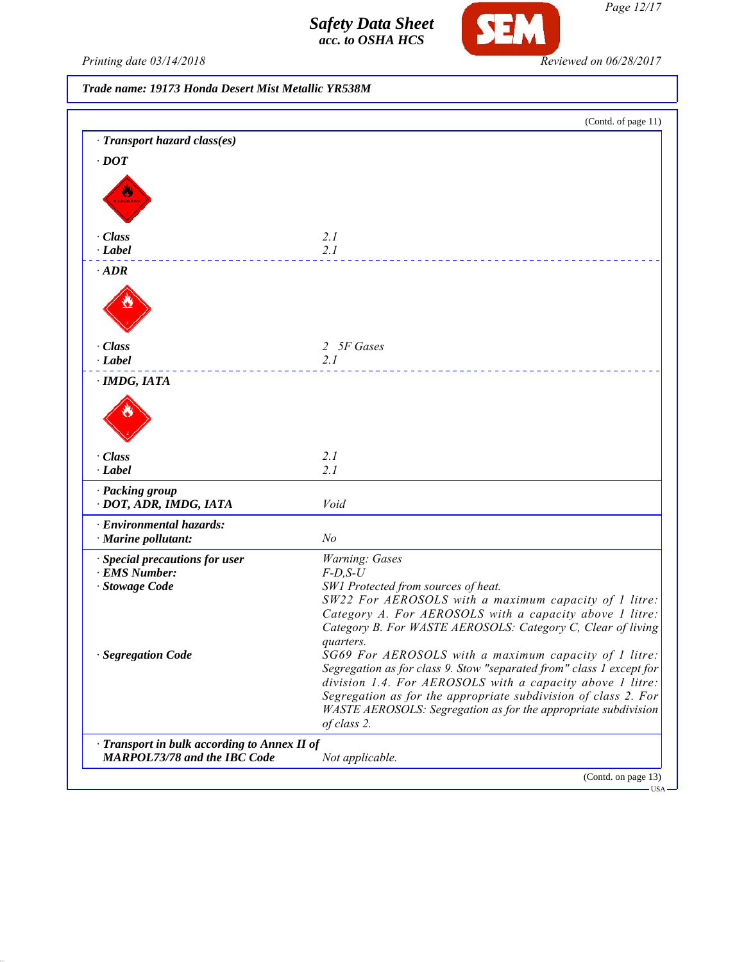

*Page 12/17*

Printing date 03/14/2018 **Reviewed on 06/28/2017** 

*Trade name: 19173 Honda Desert Mist Metallic YR538M*

|                                              | (Contd. of page 11)                                                                                                         |
|----------------------------------------------|-----------------------------------------------------------------------------------------------------------------------------|
| · Transport hazard class(es)                 |                                                                                                                             |
| $\cdot$ DOT                                  |                                                                                                                             |
|                                              |                                                                                                                             |
|                                              |                                                                                                                             |
|                                              |                                                                                                                             |
| · Class                                      | 2.1                                                                                                                         |
| $\cdot$ Label                                | 2.1                                                                                                                         |
| $\cdot$ ADR                                  |                                                                                                                             |
|                                              |                                                                                                                             |
|                                              |                                                                                                                             |
|                                              |                                                                                                                             |
| · Class                                      | 2 5F Gases                                                                                                                  |
| $\cdot$ Label                                | 2.1                                                                                                                         |
| · IMDG, IATA                                 |                                                                                                                             |
|                                              |                                                                                                                             |
|                                              |                                                                                                                             |
|                                              |                                                                                                                             |
| · Class                                      | 2.1                                                                                                                         |
| $\cdot$ Label                                | 2.1                                                                                                                         |
| · Packing group                              |                                                                                                                             |
| · DOT, ADR, IMDG, IATA                       | Void                                                                                                                        |
| · Environmental hazards:                     |                                                                                                                             |
| · Marine pollutant:                          | N <sub>o</sub>                                                                                                              |
| · Special precautions for user               | Warning: Gases                                                                                                              |
| · EMS Number:<br>· Stowage Code              | $F$ -D,S-U                                                                                                                  |
|                                              | SW1 Protected from sources of heat.<br>SW22 For AEROSOLS with a maximum capacity of 1 litre:                                |
|                                              | Category A. For AEROSOLS with a capacity above 1 litre:                                                                     |
|                                              | Category B. For WASTE AEROSOLS: Category C, Clear of living                                                                 |
|                                              | quarters.                                                                                                                   |
| · Segregation Code                           | SG69 For AEROSOLS with a maximum capacity of 1 litre:                                                                       |
|                                              | Segregation as for class 9. Stow "separated from" class 1 except for                                                        |
|                                              | division 1.4. For AEROSOLS with a capacity above 1 litre:<br>Segregation as for the appropriate subdivision of class 2. For |
|                                              | WASTE AEROSOLS: Segregation as for the appropriate subdivision                                                              |
|                                              | of class 2.                                                                                                                 |
| · Transport in bulk according to Annex II of |                                                                                                                             |
| MARPOL73/78 and the IBC Code                 | Not applicable.                                                                                                             |
|                                              | (Contd. on page 13)                                                                                                         |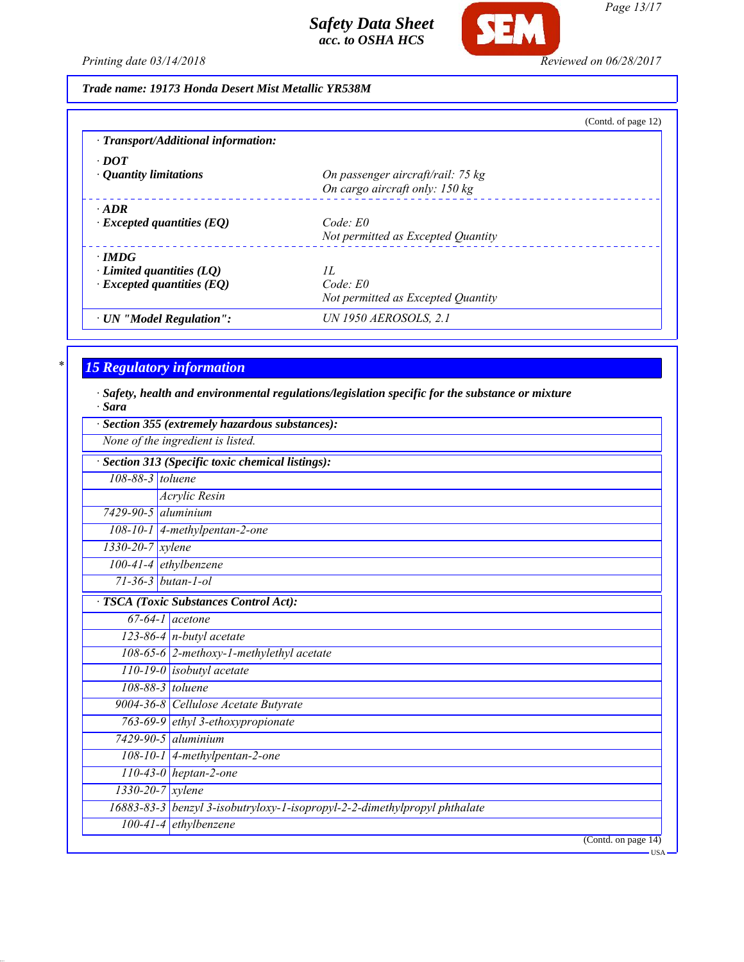

*Page 13/17*

*Printing date 03/14/2018 Reviewed on 06/28/2017*

# *Trade name: 19173 Honda Desert Mist Metallic YR538M*

|                                     | (Contd. of page 12)                |
|-------------------------------------|------------------------------------|
| · Transport/Additional information: |                                    |
| $\cdot$ DOT                         |                                    |
| $\cdot$ Quantity limitations        | On passenger aircraft/rail: 75 kg  |
|                                     | On cargo aircraft only: 150 kg     |
| $\cdot$ ADR                         |                                    |
| $\cdot$ Excepted quantities (EQ)    | Code: E0                           |
|                                     | Not permitted as Excepted Quantity |
| $\cdot$ IMDG                        |                                    |
| Limited quantities (LO)             | H.                                 |
| $\cdot$ Excepted quantities (EQ)    | $Code$ $E0$                        |
|                                     | Not permitted as Excepted Quantity |
| · UN "Model Regulation":            | <b>UN 1950 AEROSOLS, 2.1</b>       |

# *\* 15 Regulatory information*

*· Safety, health and environmental regulations/legislation specific for the substance or mixture · Sara*

| Section 355 (extremely hazardous substances): |                                                                           |  |
|-----------------------------------------------|---------------------------------------------------------------------------|--|
| None of the ingredient is listed.             |                                                                           |  |
|                                               | Section 313 (Specific toxic chemical listings):                           |  |
| 108-88-3 toluene                              |                                                                           |  |
|                                               | <b>Acrylic Resin</b>                                                      |  |
| $7429 - 90 - 5$ aluminium                     |                                                                           |  |
|                                               | 108-10-1 4-methylpentan-2-one                                             |  |
| $1330 - 20 - 7$ xylene                        |                                                                           |  |
|                                               | $100-41-4$ ethylbenzene                                                   |  |
|                                               | $71 - 36 - 3$ butan-1-ol                                                  |  |
|                                               | <b>TSCA</b> (Toxic Substances Control Act):                               |  |
|                                               | $\overline{67-64-1}$ acetone                                              |  |
|                                               | $123-86-4$ n-butyl acetate                                                |  |
|                                               | 108-65-6 2-methoxy-1-methylethyl acetate                                  |  |
|                                               | $110-19-0$ isobutyl acetate                                               |  |
|                                               | 108-88-3 toluene                                                          |  |
|                                               | 9004-36-8 Cellulose Acetate Butyrate                                      |  |
|                                               | 763-69-9 ethyl 3-ethoxypropionate                                         |  |
|                                               | $7429 - 90 - 5$ aluminium                                                 |  |
|                                               | $108-10-1$ 4-methylpentan-2-one                                           |  |
|                                               | $110-43-0$ heptan-2-one                                                   |  |
|                                               | $1330 - 20 - 7$ <i>xylene</i>                                             |  |
|                                               | 16883-83-3 benzyl 3-isobutryloxy-1-isopropyl-2-2-dimethylpropyl phthalate |  |
|                                               | $100-41-4$ ethylbenzene                                                   |  |
|                                               | (Contd. on page 14)                                                       |  |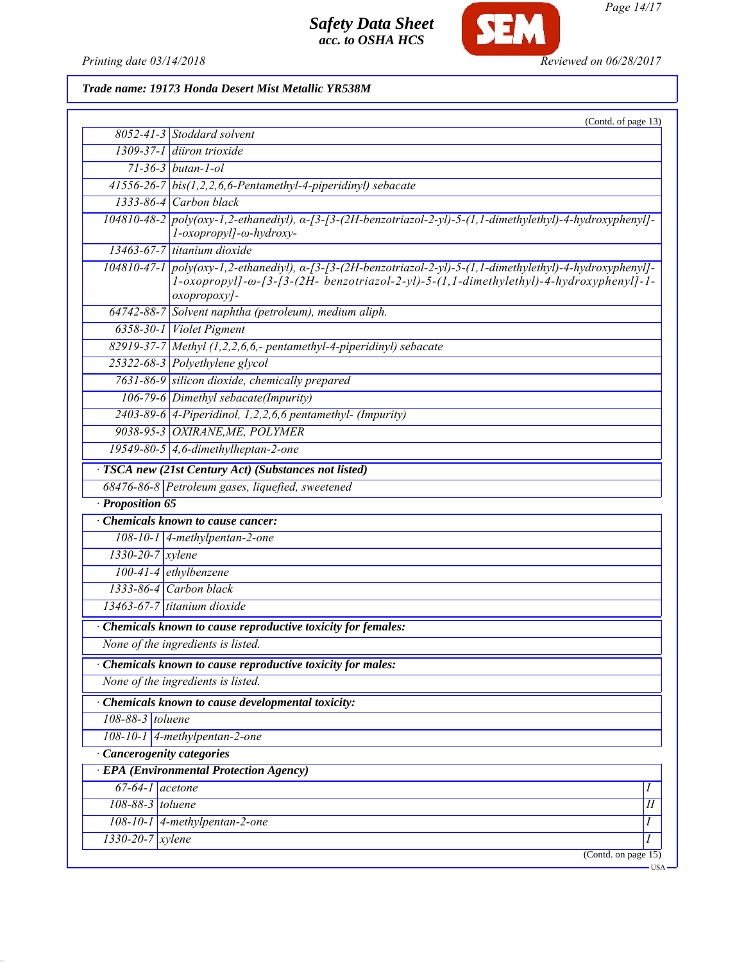

*Page 14/17*

*Printing date 03/14/2018 Reviewed on 06/28/2017*

*Trade name: 19173 Honda Desert Mist Metallic YR538M*

|                                 | (Contd. of page 13)                                                                                                                                                                                                                                                                               |
|---------------------------------|---------------------------------------------------------------------------------------------------------------------------------------------------------------------------------------------------------------------------------------------------------------------------------------------------|
|                                 | $8052 - 41 - 3$ Stoddard solvent                                                                                                                                                                                                                                                                  |
|                                 | 1309-37-1 diiron trioxide                                                                                                                                                                                                                                                                         |
|                                 | $71 - 36 - 3$ butan-1-ol                                                                                                                                                                                                                                                                          |
|                                 | $41556-26-7$ bis(1,2,2,6,6-Pentamethyl-4-piperidinyl) sebacate                                                                                                                                                                                                                                    |
|                                 | $1333-86-4$ Carbon black                                                                                                                                                                                                                                                                          |
|                                 | $104810-48-2$ poly(oxy-1,2-ethanediyl), $\alpha$ -[3-(2H-benzotriazol-2-yl)-5-(1,1-dimethylethyl)-4-hydroxyphenyl]-<br>l-oxopropyl]-ω-hydroxy-                                                                                                                                                    |
|                                 | 13463-67-7 titanium dioxide                                                                                                                                                                                                                                                                       |
|                                 | $104810-47-1$ poly(oxy-1,2-ethanediyl), $\alpha$ - $\beta$ - $\beta$ - $\beta$ - $\beta$ - $\gamma$ - $\beta$ -thenzotriazol-2-yl)-5- $(1,1$ -dimethylethyl)-4-hydroxyphenyl]-<br>1-oxopropyll- $\omega$ -[3-[3-(2H- benzotriazol-2-yl)-5-(1,1-dimethylethyl)-4-hydroxyphenyll-1-<br>oxopropoxy]- |
|                                 | $64742-88-7$ Solvent naphtha (petroleum), medium aliph.                                                                                                                                                                                                                                           |
|                                 | 6358-30-1 Violet Pigment                                                                                                                                                                                                                                                                          |
|                                 | 82919-37-7 Methyl (1,2,2,6,6,- pentamethyl-4-piperidinyl) sebacate                                                                                                                                                                                                                                |
|                                 | 25322-68-3 Polyethylene glycol                                                                                                                                                                                                                                                                    |
|                                 | 7631-86-9 silicon dioxide, chemically prepared                                                                                                                                                                                                                                                    |
|                                 | 106-79-6 Dimethyl sebacate(Impurity)                                                                                                                                                                                                                                                              |
|                                 | $2403-89-6$ 4-Piperidinol, 1,2,2,6,6 pentamethyl- (Impurity)                                                                                                                                                                                                                                      |
|                                 | 9038-95-3 OXIRANE, ME, POLYMER                                                                                                                                                                                                                                                                    |
|                                 | 19549-80-5 $\vert$ 4,6-dimethylheptan-2-one                                                                                                                                                                                                                                                       |
|                                 | · TSCA new (21st Century Act) (Substances not listed)                                                                                                                                                                                                                                             |
|                                 | 68476-86-8 Petroleum gases, liquefied, sweetened                                                                                                                                                                                                                                                  |
| · Proposition 65                |                                                                                                                                                                                                                                                                                                   |
|                                 | Chemicals known to cause cancer:                                                                                                                                                                                                                                                                  |
|                                 | $108-10-1$ 4-methylpentan-2-one                                                                                                                                                                                                                                                                   |
| $1330 - 20 - 7$ xylene          |                                                                                                                                                                                                                                                                                                   |
|                                 | $100-41-4$ ethylbenzene                                                                                                                                                                                                                                                                           |
|                                 | $1333-86-4$ Carbon black                                                                                                                                                                                                                                                                          |
|                                 | 13463-67-7 titanium dioxide                                                                                                                                                                                                                                                                       |
|                                 | Chemicals known to cause reproductive toxicity for females:                                                                                                                                                                                                                                       |
|                                 | None of the ingredients is listed.                                                                                                                                                                                                                                                                |
|                                 | Chemicals known to cause reproductive toxicity for males:                                                                                                                                                                                                                                         |
|                                 | None of the ingredients is listed.                                                                                                                                                                                                                                                                |
|                                 | · Chemicals known to cause developmental toxicity:                                                                                                                                                                                                                                                |
| $108-88-3$ toluene              |                                                                                                                                                                                                                                                                                                   |
|                                 | 108-10-1 4-methylpentan-2-one                                                                                                                                                                                                                                                                     |
| <b>Cancerogenity categories</b> |                                                                                                                                                                                                                                                                                                   |
|                                 | <b>EPA</b> (Environmental Protection Agency)                                                                                                                                                                                                                                                      |
| $67-64-1$ acetone               | Ι                                                                                                                                                                                                                                                                                                 |
| 108-88-3 toluene                | $\overline{II}$                                                                                                                                                                                                                                                                                   |
|                                 | 108-10-1 $\vert$ 4-methylpentan-2-one<br>Ι                                                                                                                                                                                                                                                        |
| $1330 - 20 - 7$ <i>xylene</i>   | I                                                                                                                                                                                                                                                                                                 |
|                                 | (Contd. on page $15$ )                                                                                                                                                                                                                                                                            |
|                                 | USA ·                                                                                                                                                                                                                                                                                             |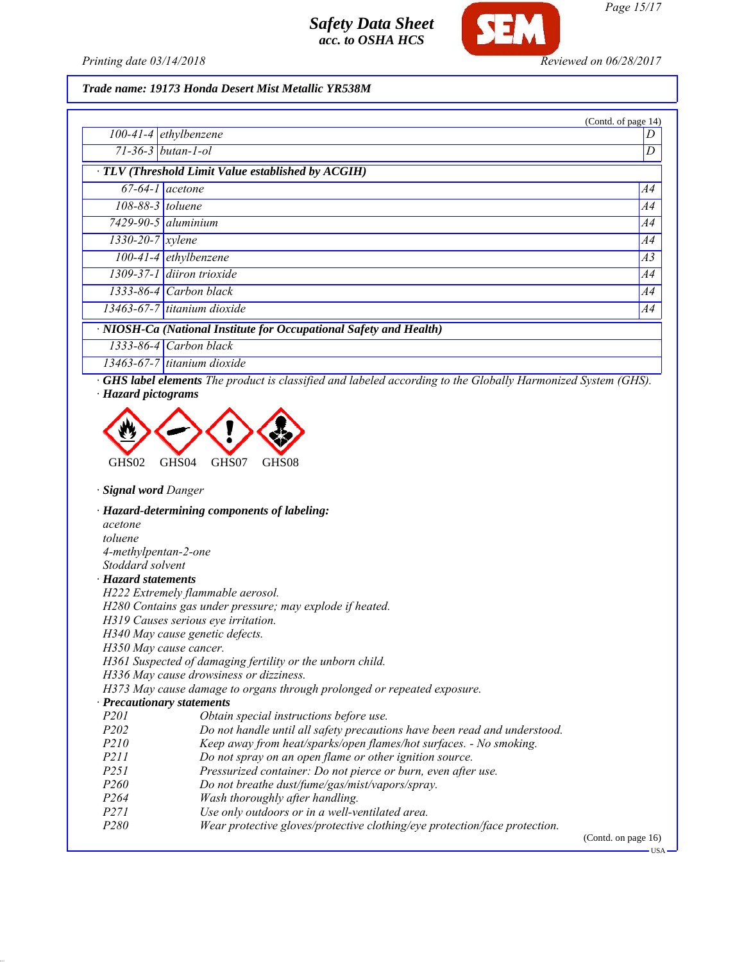

*Printing date 03/14/2018 Reviewed on 06/28/2017*

### *Trade name: 19173 Honda Desert Mist Metallic YR538M*

|                                                                    |                              | (Contd. of page 14) |
|--------------------------------------------------------------------|------------------------------|---------------------|
|                                                                    | $100-41-4$ ethylbenzene      |                     |
|                                                                    | $71 - 36 - 3$ butan-1-ol     | D                   |
| $\cdot$ TLV (Threshold Limit Value established by ACGIH)           |                              |                     |
|                                                                    | $67-64-1$ acetone            | <i>A4</i>           |
| $108-88-3$ toluene                                                 |                              | A4                  |
|                                                                    | $7429 - 90 - 5$ aluminium    | A4                  |
| $1330 - 20 - 7$ xylene                                             |                              | A4                  |
|                                                                    | $100-41-4$ ethylbenzene      | A3                  |
|                                                                    | 1309-37-1 diiron trioxide    | A4                  |
|                                                                    | $1333 - 86 - 4$ Carbon black | A4                  |
|                                                                    | 13463-67-7 titanium dioxide  | A4                  |
| · NIOSH-Ca (National Institute for Occupational Safety and Health) |                              |                     |
|                                                                    | $1333-86-4$ Carbon black     |                     |
|                                                                    | 13463-67-7 titanium dioxide  |                     |

*· GHS label elements The product is classified and labeled according to the Globally Harmonized System (GHS). · Hazard pictograms*



### *· Signal word Danger*

*· Hazard-determining components of labeling: acetone toluene 4-methylpentan-2-one Stoddard solvent · Hazard statements H222 Extremely flammable aerosol. H280 Contains gas under pressure; may explode if heated. H319 Causes serious eye irritation. H340 May cause genetic defects. H350 May cause cancer. H361 Suspected of damaging fertility or the unborn child. H336 May cause drowsiness or dizziness. H373 May cause damage to organs through prolonged or repeated exposure. · Precautionary statements P201 Obtain special instructions before use. P202 Do not handle until all safety precautions have been read and understood.*<br>P210 *Keep away from heat/sparks/open flames/hot surfaces. - No smoking. Keep away from heat/sparks/open flames/hot surfaces. - No smoking. P211 Do not spray on an open flame or other ignition source. P251 Pressurized container: Do not pierce or burn, even after use. P260 Do not breathe dust/fume/gas/mist/vapors/spray. P264 Wash thoroughly after handling. P271 Use only outdoors or in a well-ventilated area. P280 Wear protective gloves/protective clothing/eye protection/face protection.*

(Contd. on page 16)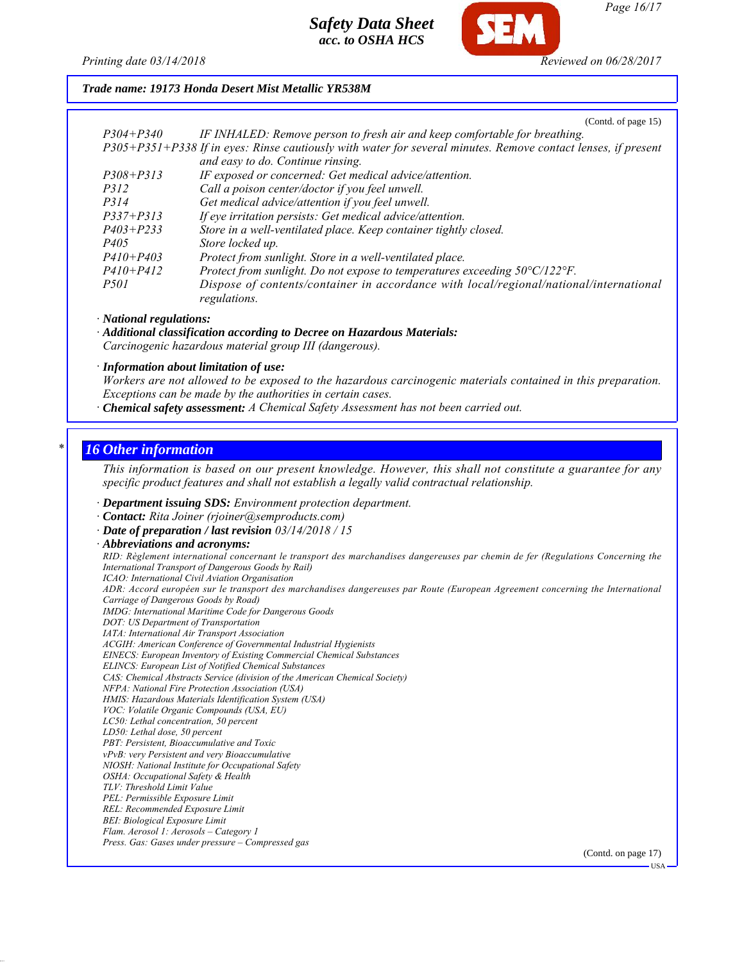

*Page 16/17*

### *Trade name: 19173 Honda Desert Mist Metallic YR538M*

(Contd. of page 15)

| $P304 + P340$ | IF INHALED: Remove person to fresh air and keep comfortable for breathing.                                    |
|---------------|---------------------------------------------------------------------------------------------------------------|
|               | P305+P351+P338 If in eyes: Rinse cautiously with water for several minutes. Remove contact lenses, if present |
|               | and easy to do. Continue rinsing.                                                                             |
| $P308 + P313$ | IF exposed or concerned: Get medical advice/attention.                                                        |
| <i>P312</i>   | Call a poison center/doctor if you feel unwell.                                                               |
| <i>P314</i>   | Get medical advice/attention if you feel unwell.                                                              |
| $P337 + P313$ | If eye irritation persists: Get medical advice/attention.                                                     |
| $P403 + P233$ | Store in a well-ventilated place. Keep container tightly closed.                                              |
| <i>P405</i>   | Store locked up.                                                                                              |
| $P410 + P403$ | Protect from sunlight. Store in a well-ventilated place.                                                      |
| $P410 + P412$ | Protect from sunlight. Do not expose to temperatures exceeding $50^{\circ}$ C/122 $^{\circ}$ F.               |
| <i>P501</i>   | Dispose of contents/container in accordance with local/regional/national/international<br>regulations.        |

*· National regulations:*

*· Additional classification according to Decree on Hazardous Materials: Carcinogenic hazardous material group III (dangerous).*

*· Information about limitation of use:*

*Workers are not allowed to be exposed to the hazardous carcinogenic materials contained in this preparation. Exceptions can be made by the authorities in certain cases.*

*· Chemical safety assessment: A Chemical Safety Assessment has not been carried out.*

### *\* 16 Other information*

*This information is based on our present knowledge. However, this shall not constitute a guarantee for any specific product features and shall not establish a legally valid contractual relationship.*

*· Department issuing SDS: Environment protection department.*

*· Contact: Rita Joiner (rjoiner@semproducts.com)*

*· Date of preparation / last revision 03/14/2018 / 15*

*· Abbreviations and acronyms: RID: Règlement international concernant le transport des marchandises dangereuses par chemin de fer (Regulations Concerning the International Transport of Dangerous Goods by Rail) ICAO: International Civil Aviation Organisation ADR: Accord européen sur le transport des marchandises dangereuses par Route (European Agreement concerning the International Carriage of Dangerous Goods by Road) IMDG: International Maritime Code for Dangerous Goods DOT: US Department of Transportation IATA: International Air Transport Association ACGIH: American Conference of Governmental Industrial Hygienists EINECS: European Inventory of Existing Commercial Chemical Substances ELINCS: European List of Notified Chemical Substances CAS: Chemical Abstracts Service (division of the American Chemical Society) NFPA: National Fire Protection Association (USA) HMIS: Hazardous Materials Identification System (USA) VOC: Volatile Organic Compounds (USA, EU) LC50: Lethal concentration, 50 percent LD50: Lethal dose, 50 percent PBT: Persistent, Bioaccumulative and Toxic vPvB: very Persistent and very Bioaccumulative NIOSH: National Institute for Occupational Safety OSHA: Occupational Safety & Health TLV: Threshold Limit Value PEL: Permissible Exposure Limit REL: Recommended Exposure Limit BEI: Biological Exposure Limit Flam. Aerosol 1: Aerosols – Category 1 Press. Gas: Gases under pressure – Compressed gas* (Contd. on page 17)